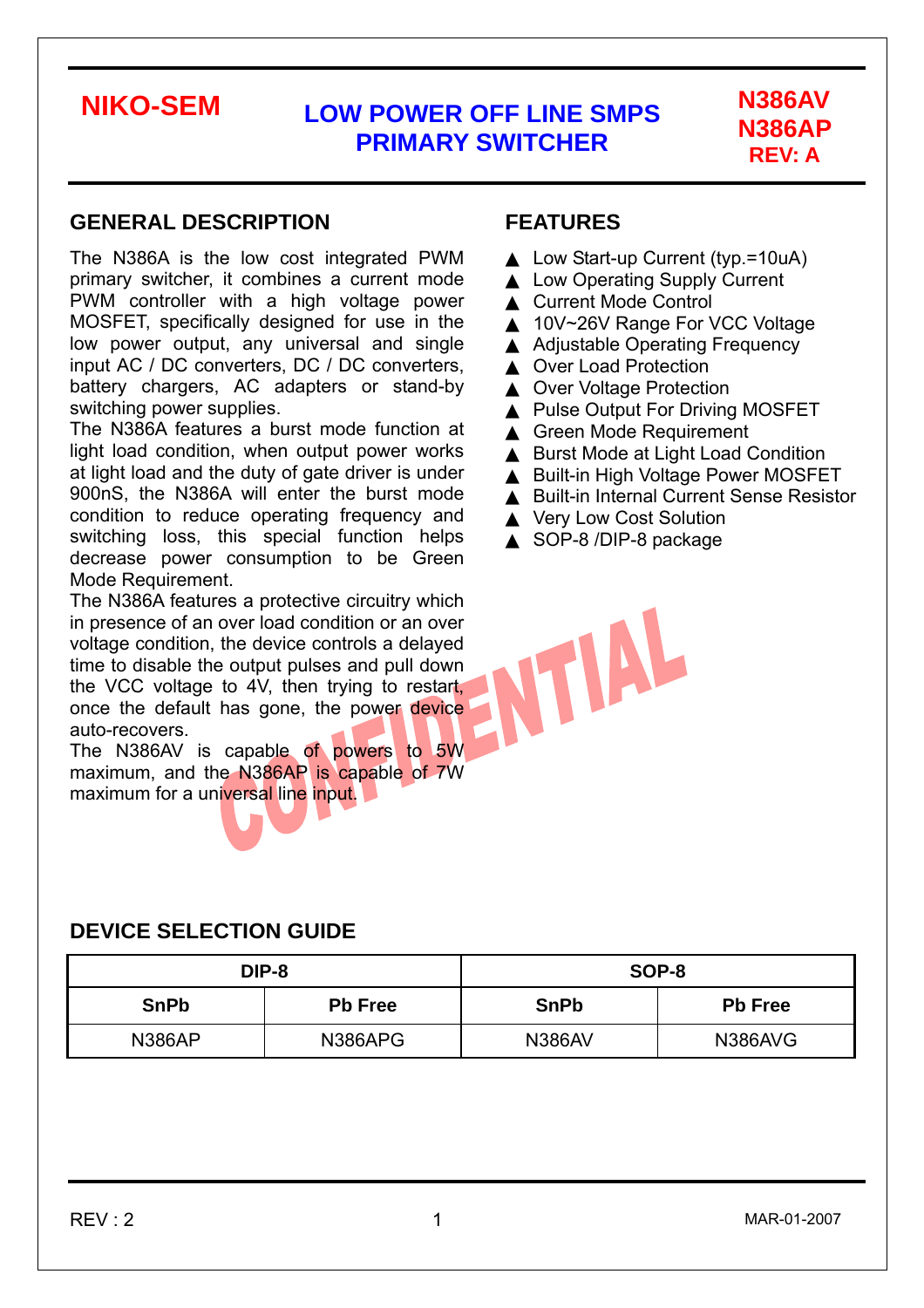# **N386AP REV: A**

#### **GENERAL DESCRIPTION**

The N386A is the low cost integrated PWM primary switcher, it combines a current mode PWM controller with a high voltage power MOSFET, specifically designed for use in the low power output, any universal and single input AC / DC converters, DC / DC converters, battery chargers, AC adapters or stand-by switching power supplies.

The N386A features a burst mode function at light load condition, when output power works at light load and the duty of gate driver is under 900nS, the N386A will enter the burst mode condition to reduce operating frequency and switching loss, this special function helps decrease power consumption to be Green Mode Requirement.

The N386A features a protective circuitry which in presence of an over load condition or an over voltage condition, the device controls a delayed time to disable the output pulses and pull down the VCC voltage to 4V, then trying to restart, once the default has gone, the power device auto-recovers.

The N386AV is capable of powers to 5W maximum, and the N386AP is capable of 7W maximum for a universal line input.

### **FEATURES**

Low Start-up Current (typ.=10uA) **Low Operating Supply Current Current Mode Control** 10V~26V Range For VCC Voltage **Adjustable Operating Frequency Over Load Protection Over Voltage Protection** Pulse Output For Driving MOSFET **Green Mode Requirement Burst Mode at Light Load Condition Built-in High Voltage Power MOSFET Built-in Internal Current Sense Resistor Very Low Cost Solution** SOP-8 /DIP-8 package

TIAL

#### **DEVICE SELECTION GUIDE**

|                               | DIP-8   | SOP-8         |                |  |
|-------------------------------|---------|---------------|----------------|--|
| <b>SnPb</b><br><b>Pb Free</b> |         | <b>SnPb</b>   | <b>Pb Free</b> |  |
| <b>N386AP</b>                 | N386APG | <b>N386AV</b> | N386AVG        |  |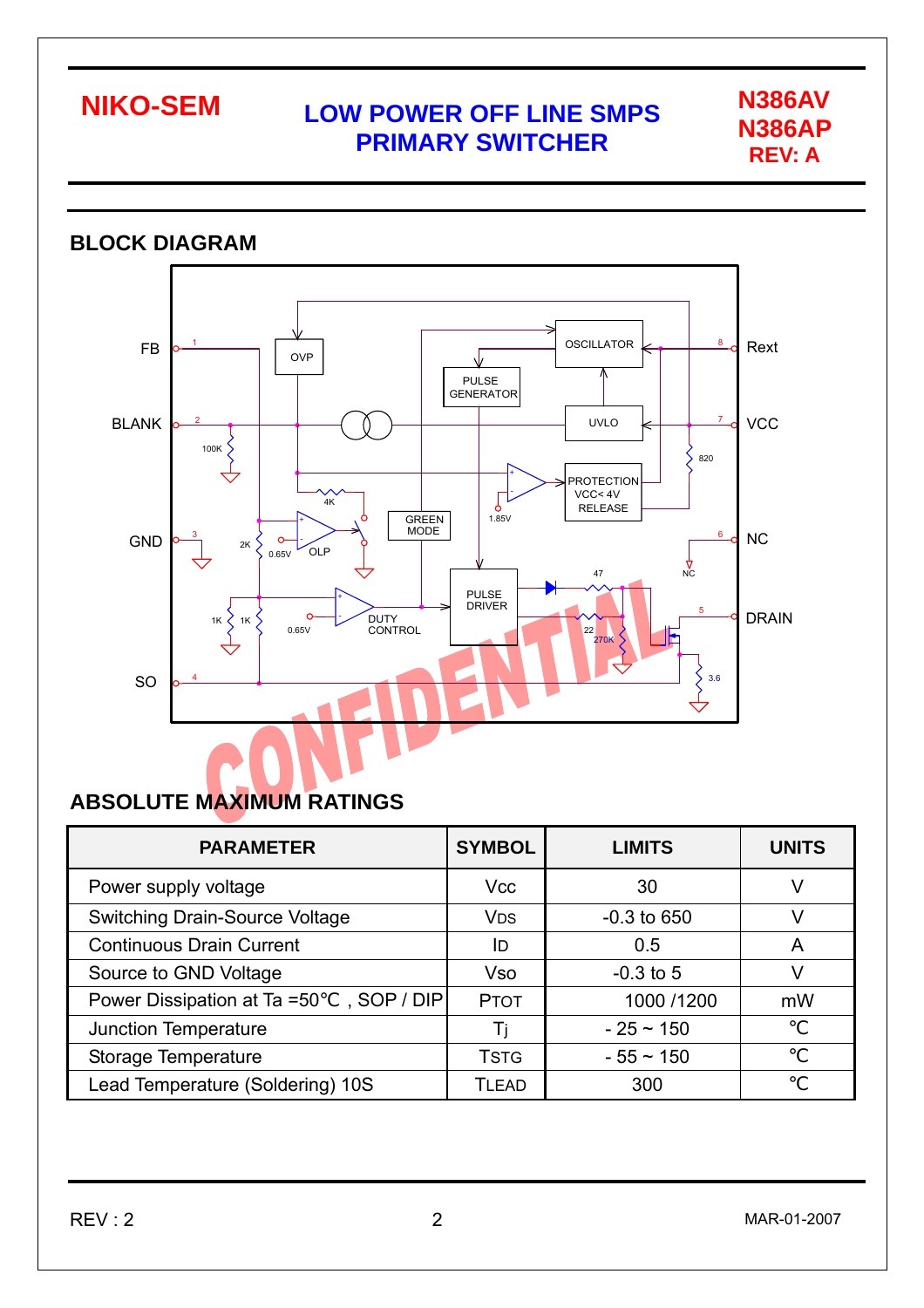

#### **BLOCK DIAGRAM OSCILLATOR** Rext FB 1 8 OVP PULSE GENERATOR BLANK **VCC** 2 **1** (  $\wedge$  ) 1 1 11/10 1 1 1 UVLO 100K 5 820 + PROTECTION VCC< 4V  $\sqrt{ }$ -  $4K$ RELEASE  $\leftarrow$  GREEN 1.85V NC  $\frac{3}{2}$   $\frac{2}{3}$   $\frac{1}{2}$ 6 GND 2K OLP 0.65V  $\frac{1}{4}$ 47 PULSE DRIVER + 5 DRAIN  $\left\{\n\begin{array}{ccc}\n1 & 0 & 0 \\
0.65 & 0.000 & 0.0000 \\
0.65 & 0 & 0.0000 & 0.0000\n\end{array}\n\right\}$ - 1K 0.65V 22<br>270K 旧 SO 3.6 4

### **ABSOLUTE MAXIMUM RATINGS**

| <b>PARAMETER</b>                           | <b>SYMBOL</b>         | <b>LIMITS</b>  | <b>UNITS</b> |
|--------------------------------------------|-----------------------|----------------|--------------|
| Power supply voltage                       | <b>Vcc</b>            | 30             |              |
| <b>Switching Drain-Source Voltage</b>      | <b>V<sub>DS</sub></b> | $-0.3$ to 650  |              |
| <b>Continuous Drain Current</b>            | ID                    | 0.5            | A            |
| Source to GND Voltage                      | <b>Vso</b>            | $-0.3$ to 5    |              |
| , SOP / DIP<br>Power Dissipation at Ta =50 | <b>PTOT</b>           | 1000 /1200     | mW           |
| <b>Junction Temperature</b>                | Ti                    | $-25 \sim 150$ |              |
| Storage Temperature                        | <b>TSTG</b>           | $-55 \sim 150$ |              |
| Lead Temperature (Soldering) 10S           | <b>TLEAD</b>          | 300            |              |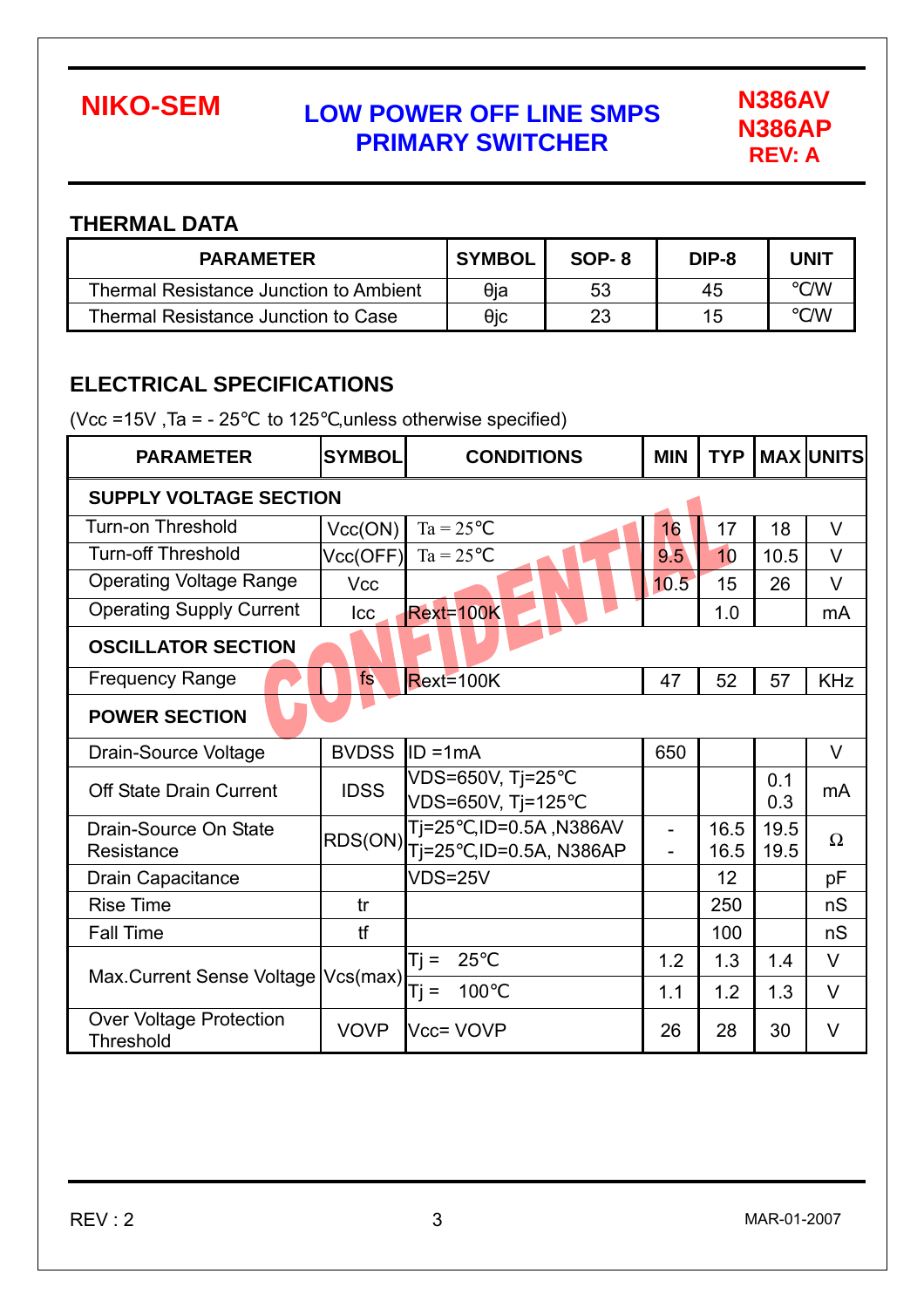

### **THERMAL DATA**

| <b>PARAMETER</b>                              | <b>SYMBOL</b> | SOP-8 | DIP-8 | <b>UNIT</b> |
|-----------------------------------------------|---------------|-------|-------|-------------|
| <b>Thermal Resistance Junction to Ambient</b> | θia           | 53    | 45    | /W          |
| Thermal Resistance Junction to Case           | θic           | 23    | 15    | /W          |

### **ELECTRICAL SPECIFICATIONS**

(Vcc =15V, Ta =  $-25$  to 125 , unless otherwise specified)

| <b>PARAMETER</b>                                   | <b>SYMBOL</b>                                                     | <b>CONDITIONS</b>                   | <b>MIN</b> | <b>TYP</b>   |              | <b>MAX UNITS</b> |  |  |  |  |
|----------------------------------------------------|-------------------------------------------------------------------|-------------------------------------|------------|--------------|--------------|------------------|--|--|--|--|
| <b>SUPPLY VOLTAGE SECTION</b>                      |                                                                   |                                     |            |              |              |                  |  |  |  |  |
| <b>Turn-on Threshold</b>                           | Vcc(ON)                                                           | $Ta = 25$                           | 16         | 17           | 18           | $\vee$           |  |  |  |  |
| <b>Turn-off Threshold</b>                          | Vcc(OFF)                                                          | $Ta = 25$                           | 9.5        | 10           | 10.5         | $\vee$           |  |  |  |  |
| <b>Operating Voltage Range</b>                     | <b>Vcc</b>                                                        |                                     | 10.5       | 15           | 26           | $\vee$           |  |  |  |  |
| <b>Operating Supply Current</b>                    | Icc                                                               | <b>Rext=100K</b>                    |            | 1.0          |              | mA               |  |  |  |  |
| <b>OSCILLATOR SECTION</b>                          |                                                                   |                                     |            |              |              |                  |  |  |  |  |
| <b>Frequency Range</b>                             | fs                                                                | $Rext=100K$                         | 47         | 52           | 57           | <b>KHz</b>       |  |  |  |  |
| <b>POWER SECTION</b>                               |                                                                   |                                     |            |              |              |                  |  |  |  |  |
| <b>Drain-Source Voltage</b>                        | <b>BVDSS</b>                                                      | $ID = 1mA$                          | 650        |              |              | $\vee$           |  |  |  |  |
| <b>Off State Drain Current</b>                     | <b>IDSS</b>                                                       | VDS=650V, Tj=25<br>VDS=650V, Tj=125 |            |              | 0.1<br>0.3   | m <sub>A</sub>   |  |  |  |  |
| Drain-Source On State<br>Resistance                | ,ID=0.5A, N386AV<br>Tj=25<br>RDS(ON)<br>,ID=0.5A, N386AP<br>Ti=25 |                                     | -          | 16.5<br>16.5 | 19.5<br>19.5 | $\Omega$         |  |  |  |  |
| <b>Drain Capacitance</b>                           |                                                                   | <b>VDS=25V</b>                      |            | 12           |              | рF               |  |  |  |  |
| <b>Rise Time</b>                                   | tr                                                                |                                     |            | 250          |              | nS               |  |  |  |  |
| <b>Fall Time</b>                                   | tf                                                                |                                     |            | 100          |              | nS               |  |  |  |  |
|                                                    |                                                                   | 25<br>$Tj =$                        | 1.2        | 1.3          | 1.4          | $\vee$           |  |  |  |  |
| Max.Current Sense Voltage   Vcs(max)               |                                                                   | 100<br>$Tj =$                       | 1.1        | 1.2          | 1.3          | $\vee$           |  |  |  |  |
| <b>Over Voltage Protection</b><br><b>Threshold</b> | <b>VOVP</b>                                                       | Vcc= VOVP                           | 26         | 28           | 30           | $\vee$           |  |  |  |  |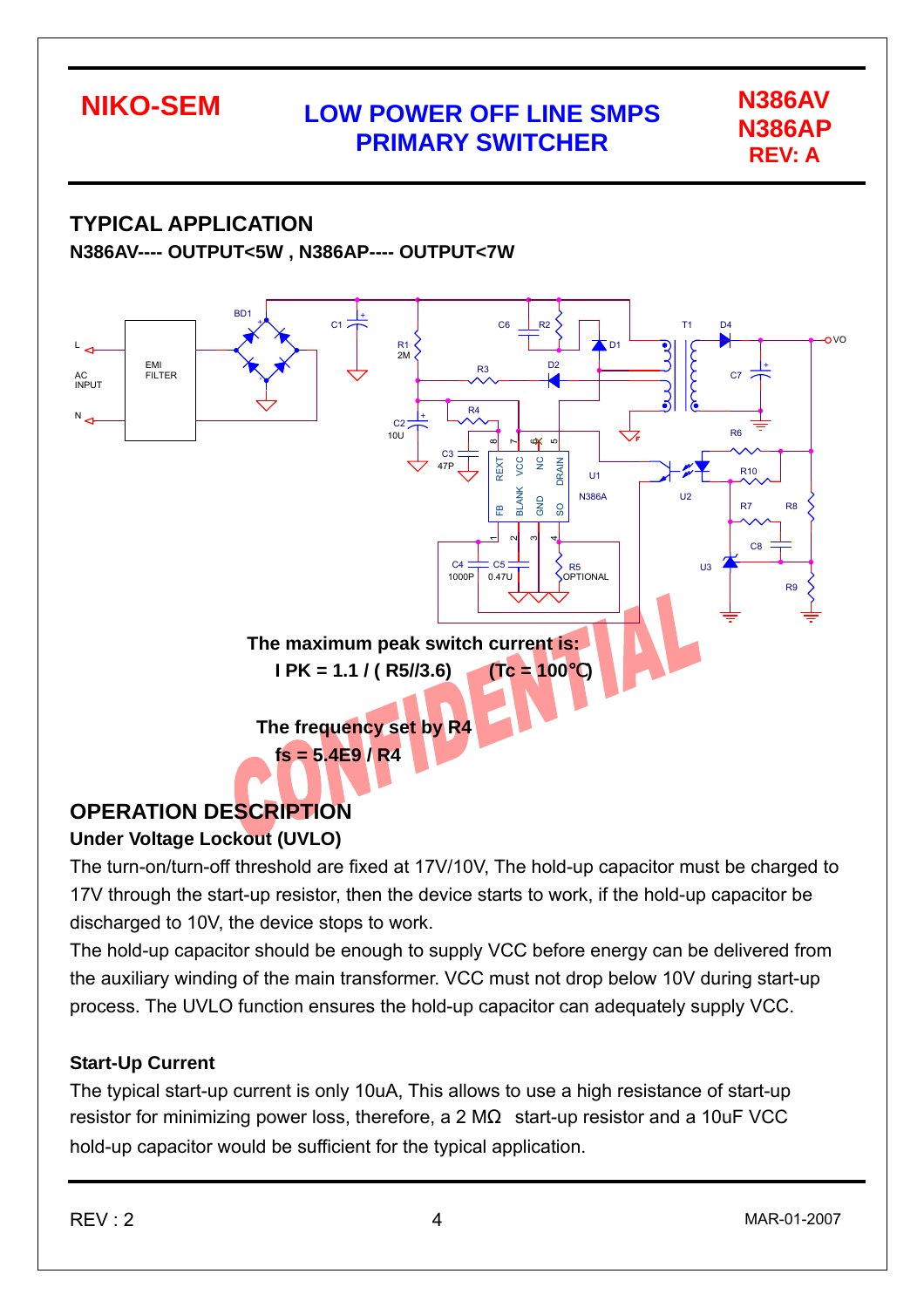

# **TYPICAL APPLICATION**

**N386AV---- OUTPUT<5W , N386AP---- OUTPUT<7W** 



## **OPERATION DESCRIPTION**

### **Under Voltage Lockout (UVLO)**

The turn-on/turn-off threshold are fixed at 17V/10V, The hold-up capacitor must be charged to 17V through the start-up resistor, then the device starts to work, if the hold-up capacitor be discharged to 10V, the device stops to work.

The hold-up capacitor should be enough to supply VCC before energy can be delivered from the auxiliary winding of the main transformer. VCC must not drop below 10V during start-up process. The UVLO function ensures the hold-up capacitor can adequately supply VCC.

#### **Start-Up Current**

The typical start-up current is only 10uA, This allows to use a high resistance of start-up resistor for minimizing power loss, therefore, a 2 M start-up resistor and a 10uF VCC hold-up capacitor would be sufficient for the typical application.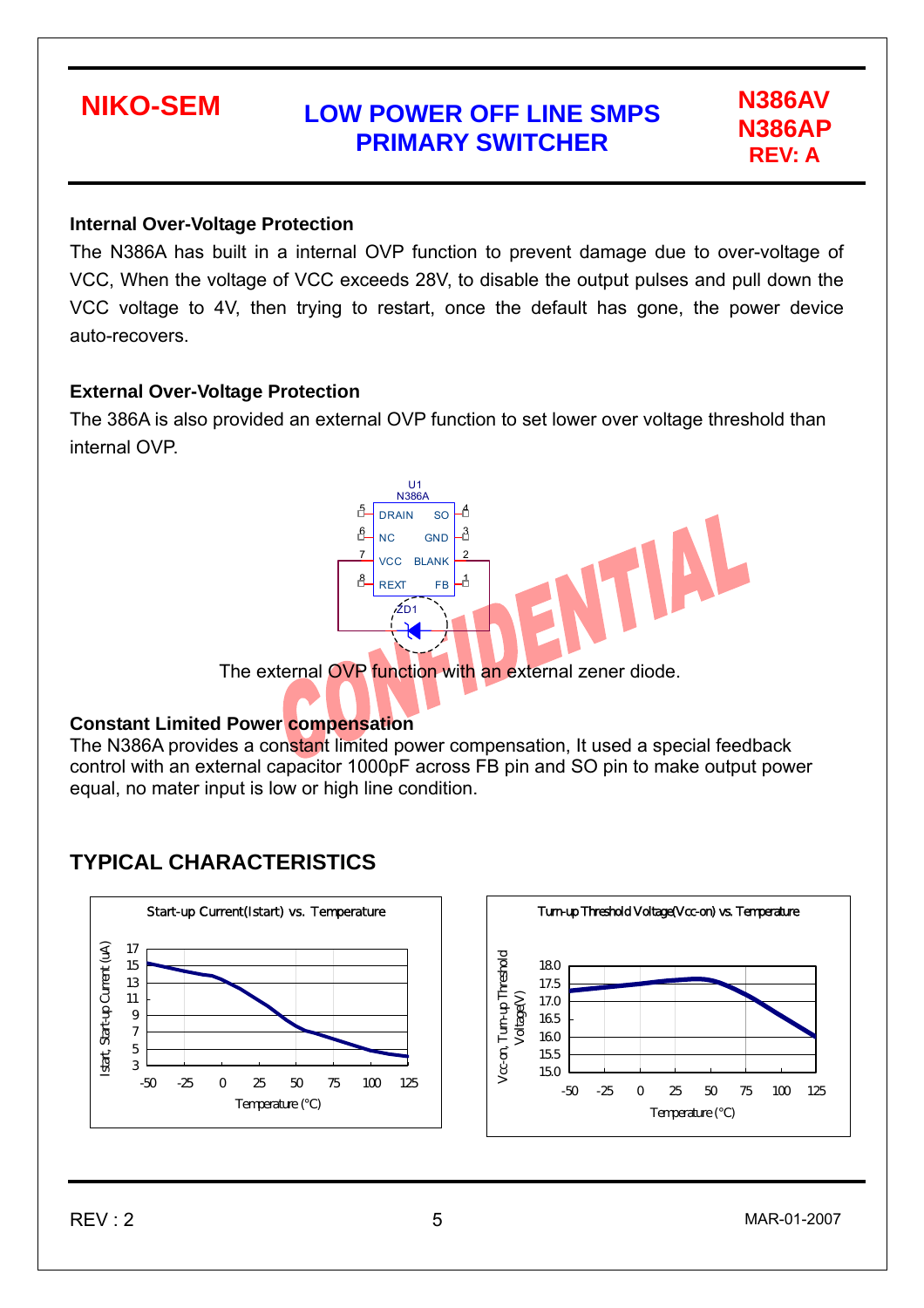# **N386AP REV: A**

#### **Internal Over-Voltage Protection**

The N386A has built in a internal OVP function to prevent damage due to over-voltage of VCC, When the voltage of VCC exceeds 28V, to disable the output pulses and pull down the VCC voltage to 4V, then trying to restart, once the default has gone, the power device auto-recovers.

#### **External Over-Voltage Protection**

The 386A is also provided an external OVP function to set lower over voltage threshold than internal OVP.



#### **Constant Limited Power compensation**

The N386A provides a constant limited power compensation, It used a special feedback control with an external capacitor 1000pF across FB pin and SO pin to make output power equal, no mater input is low or high line condition.

### **TYPICAL CHARACTERISTICS**



 $REV:2$  5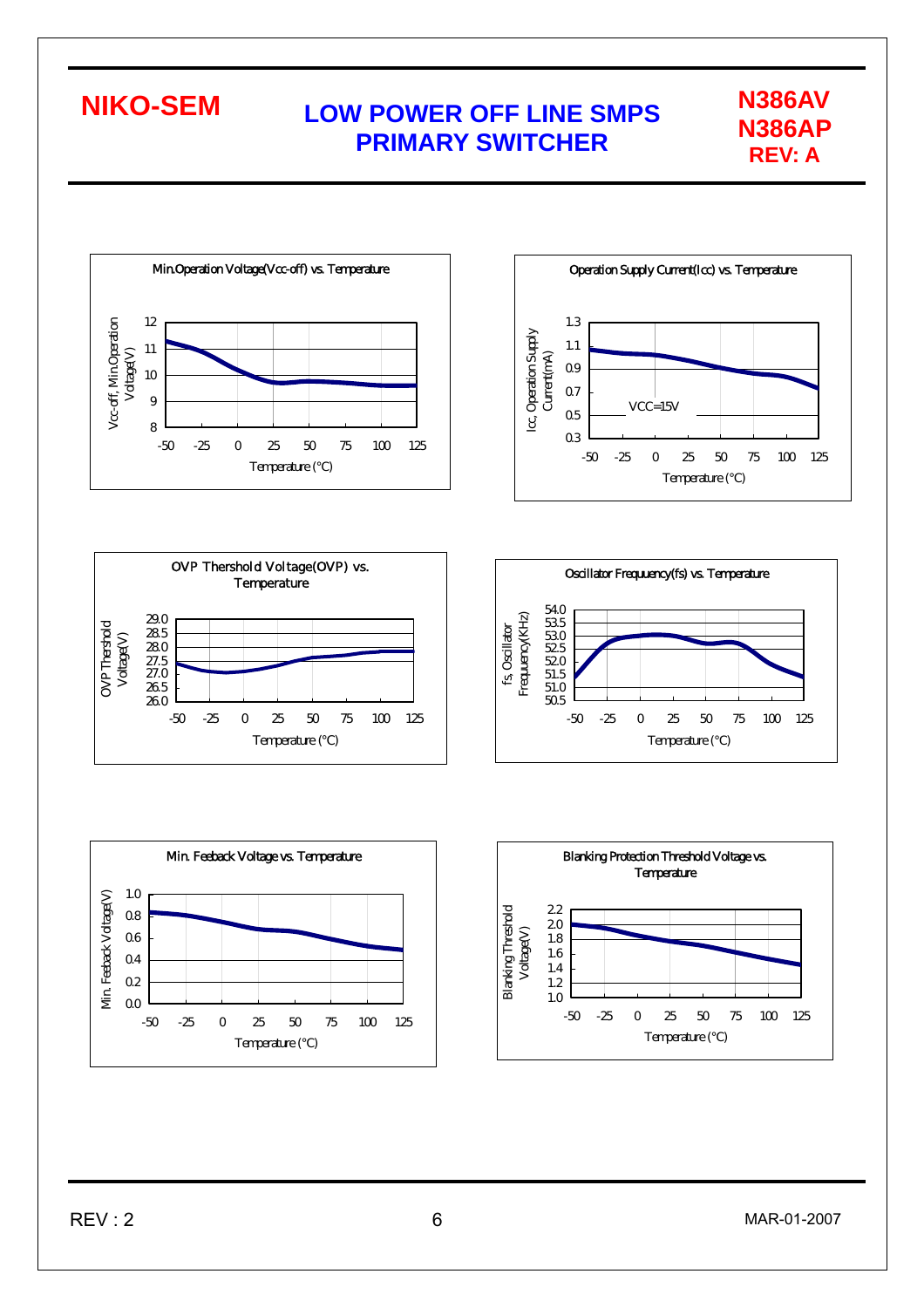**N386AP REV: A** 





-50 -25 0 25 50 75 100 125 Temperature ()









0.0  $Q2$  $Q<sub>4</sub>$ 0.6 0.8 1.0

Min. Feeback Voltage(V)

Min Fedrack Voltage(V)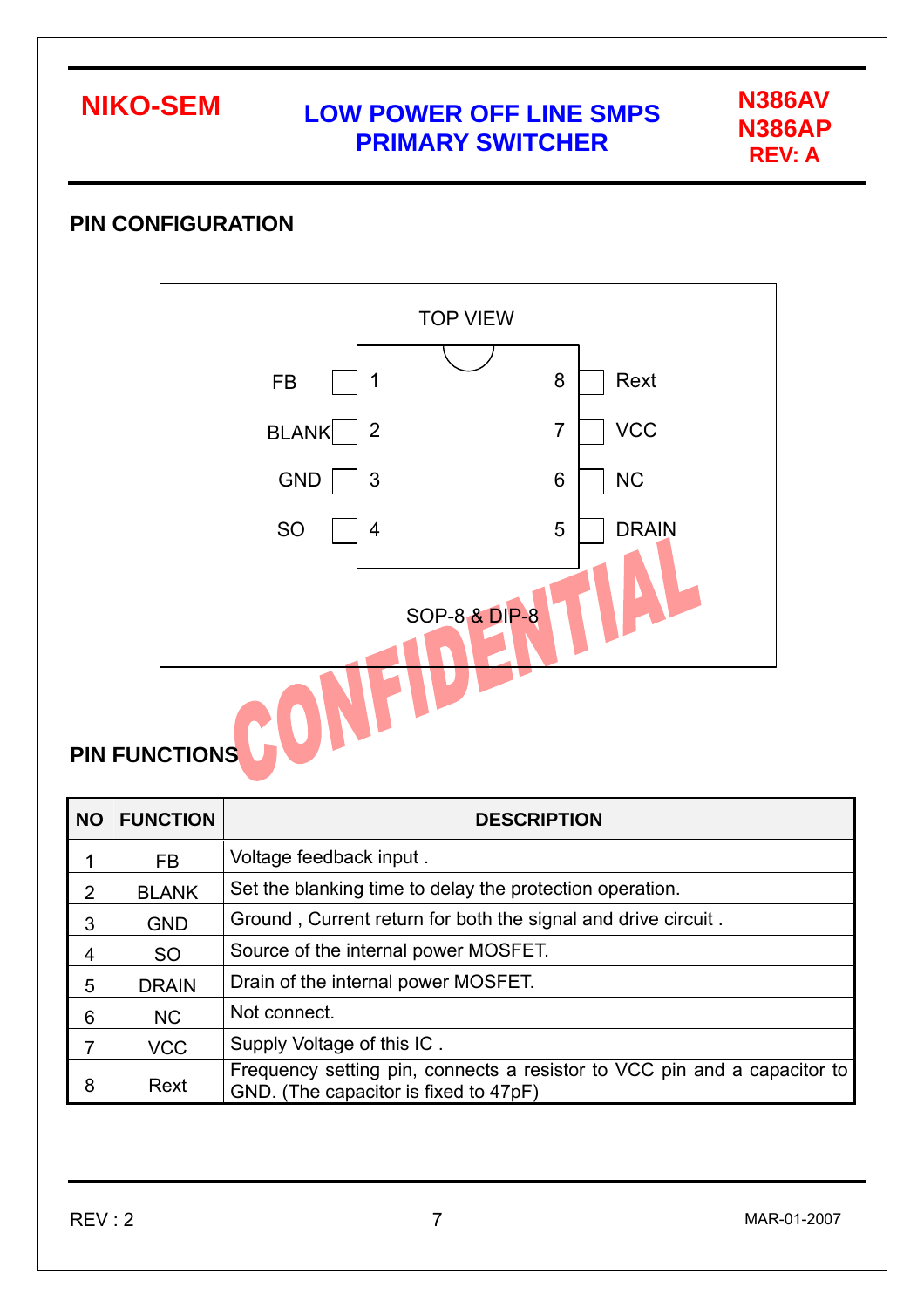**N386AP REV: A** 

### **PIN CONFIGURATION**



## **PIN FUNCTIONS**

| <b>NO</b> | <b>FUNCTION</b> | <b>DESCRIPTION</b>                                                                                                |
|-----------|-----------------|-------------------------------------------------------------------------------------------------------------------|
|           | FB.             | Voltage feedback input.                                                                                           |
| 2         | <b>BLANK</b>    | Set the blanking time to delay the protection operation.                                                          |
| 3         | <b>GND</b>      | Ground, Current return for both the signal and drive circuit.                                                     |
| 4         | <b>SO</b>       | Source of the internal power MOSFET.                                                                              |
| 5         | <b>DRAIN</b>    | Drain of the internal power MOSFET.                                                                               |
| 6         | <b>NC</b>       | Not connect.                                                                                                      |
|           | <b>VCC</b>      | Supply Voltage of this IC.                                                                                        |
| 8         | Rext            | Frequency setting pin, connects a resistor to VCC pin and a capacitor to<br>GND. (The capacitor is fixed to 47pF) |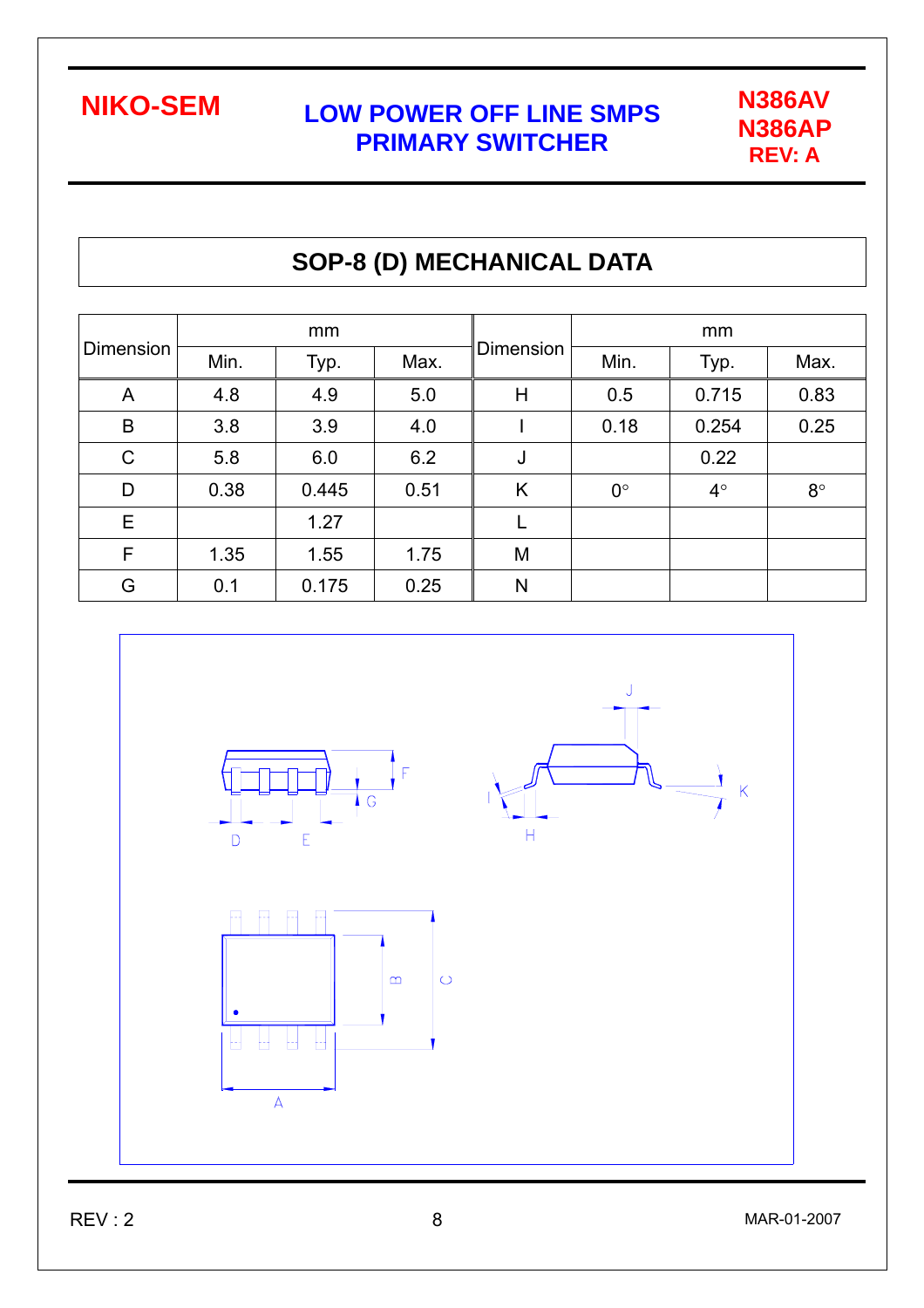

## **SOP-8 (D) MECHANICAL DATA**

| Dimension    |      | mm    |      |                  | mm          |           |             |  |
|--------------|------|-------|------|------------------|-------------|-----------|-------------|--|
|              | Min. | Typ.  | Max. | <b>Dimension</b> | Min.        | Typ.      | Max.        |  |
| A            | 4.8  | 4.9   | 5.0  | Η                | 0.5         | 0.715     | 0.83        |  |
| B            | 3.8  | 3.9   | 4.0  |                  | 0.18        | 0.254     | 0.25        |  |
| $\mathsf{C}$ | 5.8  | 6.0   | 6.2  | J                |             | 0.22      |             |  |
| D            | 0.38 | 0.445 | 0.51 | K                | $0^{\circ}$ | $4^\circ$ | $8^{\circ}$ |  |
| Е            |      | 1.27  |      |                  |             |           |             |  |
| F            | 1.35 | 1.55  | 1.75 | M                |             |           |             |  |
| G            | 0.1  | 0.175 | 0.25 | N                |             |           |             |  |



 $REV:2$  8